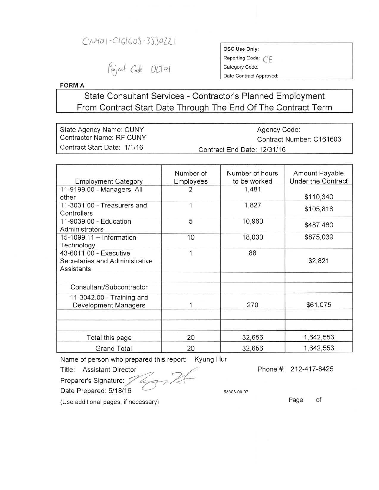## $C1401 - C161603 - 3330721$

Project Cade OLTOI

OSC Use Only: Reporting Code:  $CE$ Category Code: Date Contract Approved:

**FORMA**

**State Consultant Services - Contractor's Planned Employment From Contract Start Date Through The End Of The Contract Term**

| State Agency Name: CUNY         | Agency Code:                |
|---------------------------------|-----------------------------|
| <b>Contractor Name: RF CUNY</b> | Contract Number: C161603    |
| Contract Start Date: 1/1/16     | Contract End Date: 12/31/16 |

| <b>Employment Category</b>                                                    | Number of<br>Employees | Number of hours<br>to be worked | Amount Payable<br><b>Under the Contract</b> |
|-------------------------------------------------------------------------------|------------------------|---------------------------------|---------------------------------------------|
| 11-9199.00 - Managers, All<br>other                                           | 2                      | 1,481                           | \$110,340                                   |
| 11-3031.00 - Treasurers and<br>Controllers                                    |                        | 1,827                           | \$105,818                                   |
| 11-9039.00 - Education<br>Administrators                                      | 5                      | 10,960                          | \$487.460                                   |
| 15-1099.11 - Information<br>Technology                                        | 10                     | 18,030                          | \$875,039                                   |
| 43-6011.00 - Executive<br>Secretaries and Administrative<br><b>Assistants</b> | 1                      | 88                              | \$2,821                                     |
| Consultant/Subcontractor                                                      |                        |                                 |                                             |
| 11-3042.00 - Training and<br><b>Development Managers</b>                      |                        | 270                             | \$61,075                                    |
|                                                                               |                        |                                 |                                             |
| Total this page                                                               | 20                     | 32,656                          | 1,642,553                                   |
| <b>Grand Total</b>                                                            | 20                     | 32,656                          | 1,642,553                                   |

Name of person who prepared this report: Kyung Hur

Title: Assistant Director

Preparer's Signature:  $\mathcal{V}$   $\mathcal{L}$ Date Prepared: 5/18/16

Phone #: 212-417-8425

(Use additional pages, if necessary) example of page of page of

53303-00-07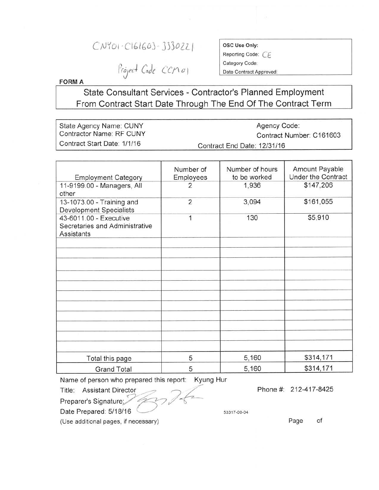## C;JYOI 'CIGlbOJ- *J330lLI*

Project Code CCM01

OSC Use Only:

Reporting Code: C*<sup>E</sup>* Category Code:

Date Contract Approved:

**FORM A** 

State Consultant Services - Contractor's Planned Employment From Contract Start Date Through The End Of The Contract Term

State Agency Name: CUNY Contractor Name: RF CUNY Contract Start Date: *1/1/16* Agency Code: Contract Number: C161603 Contract End Date: *12/31/16*

| <b>Employment Category</b>                                                    | Number of<br>Employees | Number of hours<br>to be worked | Amount Payable<br><b>Under the Contract</b> |
|-------------------------------------------------------------------------------|------------------------|---------------------------------|---------------------------------------------|
| 11-9199.00 - Managers, All<br>other                                           | $\overline{2}$         | 1,936                           | \$147,206                                   |
| 13-1073.00 - Training and<br><b>Development Specialists</b>                   | $\overline{2}$         | 3,094                           | \$161,055                                   |
| 43-6011.00 - Executive<br>Secretaries and Administrative<br><b>Assistants</b> | 1                      | 130                             | \$5,910                                     |
|                                                                               |                        |                                 |                                             |
|                                                                               |                        |                                 |                                             |
|                                                                               |                        |                                 |                                             |
|                                                                               |                        |                                 |                                             |
|                                                                               |                        |                                 |                                             |
|                                                                               |                        |                                 |                                             |
|                                                                               |                        |                                 |                                             |
|                                                                               |                        |                                 |                                             |
| Total this page                                                               | 5                      | 5,160                           | \$314,171                                   |
| <b>Grand Total</b>                                                            | 5                      | 5,160                           | \$314,171                                   |

Name of person who prepared this report: Kyung Hur

Title: Assistant Director Preparer's Signature;

Date Prepared: 5/18/16

(Use additional pages, if necessary)

Phone #: 212-417 -8425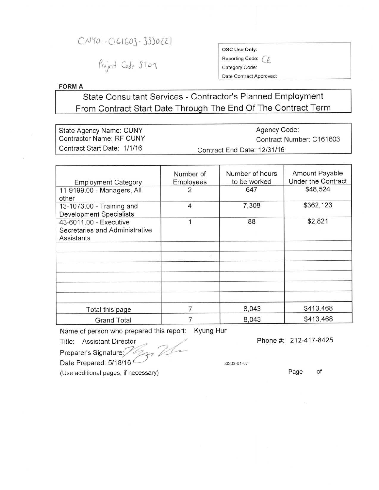## C;\J10!-(lblbOj- *33)OlLI*

# Project Code ST07

| OSC Use Only:   |  |
|-----------------|--|
| Reporting Code: |  |
| Category Code:  |  |

Date Contract Approved:

### FORMA

## State Consultant Services - Contractor's Planned Employment From Contract Start Date Through The End Of The Contract Term

| State Agency Name: CUNY         | Agency Code:                |
|---------------------------------|-----------------------------|
| <b>Contractor Name: RF CUNY</b> | Contract Number: C161603    |
| Contract Start Date: 1/1/16     | Contract End Date: 12/31/16 |

|                                | Number of | Number of hours | Amount Payable     |
|--------------------------------|-----------|-----------------|--------------------|
| <b>Employment Category</b>     | Employees | to be worked    | Under the Contract |
| 11-9199.00 - Managers, All     | 2         | 647             | \$48,524           |
| other                          |           |                 |                    |
| 13-1073.00 - Training and      | 4         | 7,308           | \$362,123          |
| <b>Development Specialists</b> |           |                 |                    |
| 43-6011.00 - Executive         | 1         | 88              | \$2,821            |
| Secretaries and Administrative |           |                 |                    |
| Assistants                     |           |                 |                    |
|                                |           |                 |                    |
|                                |           |                 |                    |
|                                |           |                 |                    |
|                                |           |                 |                    |
|                                |           |                 |                    |
|                                |           |                 |                    |
|                                |           |                 |                    |
|                                |           |                 |                    |
| Total this page                |           | 8,043           | \$413,468          |
| <b>Grand Total</b>             |           | 8,043           | \$413,468          |

Name of person who prepared this report: Kyung Hur

Title: Assistant Director

Phone #: 212-417-8425

Preparer's Signature: / 221

Date Prepared: 5/18/16

53303-01-07

(Use additional pages, if necessary)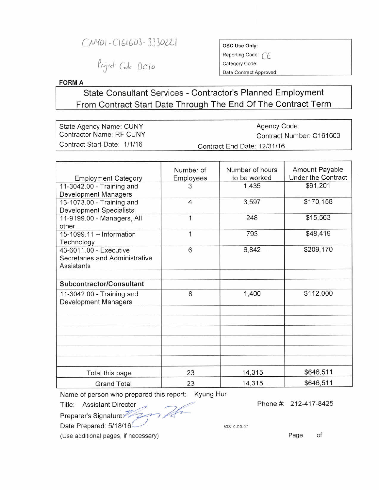*C* $N$ <sup>*VOI*</sup> *-CIGIGO*<sup>3</sup> - 333022

Project Code DC10

Reporting Code: CF Category Code:

Date Contract Approved:

**FORMA**

**State Consultant Services - Contractor's Planned Employment From Contract Start Date Through The End Of The Contract Term**

| State Agency Name: CUNY     | Agency Code:                |
|-----------------------------|-----------------------------|
| Contractor Name: RF CUNY    | Contract Number: C161603    |
| Contract Start Date: 1/1/16 | Contract End Date: 12/31/16 |

|                                | Number of      | Number of hours | Amount Payable     |
|--------------------------------|----------------|-----------------|--------------------|
| <b>Employment Category</b>     | Employees      | to be worked    | Under the Contract |
| 11-3042.00 - Training and      | 3              | 1,435           | \$91,201           |
| Development Managers           |                |                 |                    |
| 13-1073.00 - Training and      | $\overline{4}$ | 3,597           | \$170,158          |
| <b>Development Specialists</b> |                |                 |                    |
| 11-9199.00 - Managers, All     | 1              | 248             | \$15,563           |
| other                          |                |                 |                    |
| 15-1099.11 - Information       | 1              | 793             | \$48,419           |
| Technology                     |                |                 |                    |
| 43-6011.00 - Executive         | 6              | 6,842           | \$209,170          |
| Secretaries and Administrative |                |                 |                    |
| Assistants                     |                |                 |                    |
|                                |                |                 |                    |
| Subcontractor/Consultant       |                |                 |                    |
| 11-3042.00 - Training and      | 8              | 1,400           | \$112,000          |
| Development Managers           |                |                 |                    |
|                                |                |                 |                    |
|                                |                |                 |                    |
|                                |                |                 |                    |
|                                |                |                 |                    |
|                                |                |                 |                    |
|                                |                |                 |                    |
| Total this page                | 23             | 14,315          | \$646,511          |
| <b>Grand Total</b>             | 23             | 14,315          | \$646,511          |

Name of person who prepared this report: Kyung Hur

Title: Assistant Director

Preparer's Signature:

Date Prepared: 5/18/16<sup>2.1</sup> **13310-00-07** 

(Use additional pages, if necessary)

Phone #: 212-417-8425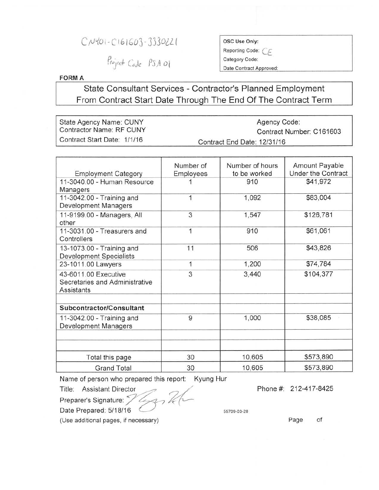## $C/N101-C161603-3330221$

# Project Code PSA01

### OSC Use Only: Reporting Code: *CE* Category Code:

Date Contract Approved:

#### **FORM A**

## State Consultant Services - Contractor's Planned Employment From Contract Start Date Through The End Of The Contract Term

| State Agency Name: CUNY     | Agency Code:                |
|-----------------------------|-----------------------------|
| Contractor Name: RF CUNY    | Contract Number: C161603    |
| Contract Start Date: 1/1/16 | Contract End Date: 12/31/16 |

| <b>Employment Category</b>                                           | Number of<br>Employees | Number of hours<br>to be worked | Amount Payable<br>Under the Contract |
|----------------------------------------------------------------------|------------------------|---------------------------------|--------------------------------------|
| 11-3040.00 - Human Resource<br>Managers                              |                        | 910                             | \$41,972                             |
| 11-3042.00 - Training and<br>Development Managers                    | 1                      | 1,092                           | \$83,004                             |
| 11-9199.00 - Managers, All<br>other                                  | 3                      | 1,547                           | \$126,781                            |
| 11-3031.00 - Treasurers and<br>Controllers                           | 1                      | 910                             | \$61,061                             |
| 13-1073.00 - Training and<br><b>Development Specialists</b>          | 11                     | 506                             | \$43,826                             |
| 23-1011.00 Lawyers                                                   | 1                      | 1,200                           | \$74,784                             |
| 43-6011.00 Executive<br>Secretaries and Administrative<br>Assistants | 3                      | 3,440                           | \$104,377                            |
| Subcontractor/Consultant                                             |                        |                                 |                                      |
| 11-3042.00 - Training and<br>Development Managers                    | 9                      | 1,000                           | \$38,085                             |
|                                                                      |                        |                                 |                                      |
| Total this page                                                      | 30                     | 10,605                          | \$573,890                            |
| <b>Grand Total</b>                                                   | 30                     | 10,605                          | \$573,890                            |

Name of person who prepared this report: Kyung Hur

Title: Assistant Director

Preparer's Signature: // //<br>Date Prepared: *5/18/16* 

Phone #: 212-417-8425

55709-03-28

(Use additional pages, if necessary) example of the state of page of the page of the state of the state of the state of the state of the state of the state of the state of the state of the state of the state of the state o